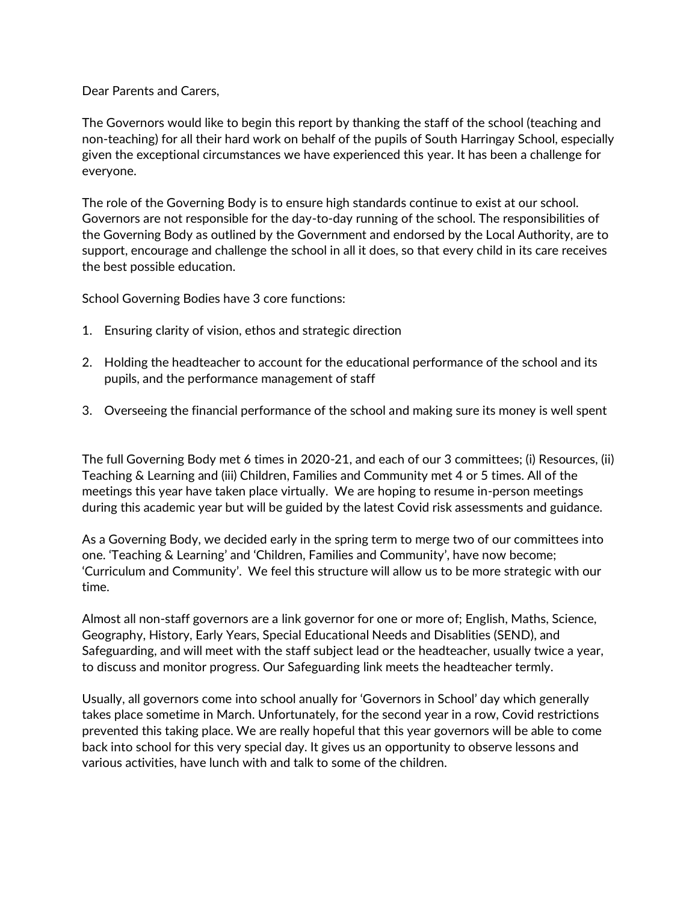Dear Parents and Carers,

The Governors would like to begin this report by thanking the staff of the school (teaching and non-teaching) for all their hard work on behalf of the pupils of South Harringay School, especially given the exceptional circumstances we have experienced this year. It has been a challenge for everyone.

The role of the Governing Body is to ensure high standards continue to exist at our school. Governors are not responsible for the day-to-day running of the school. The responsibilities of the Governing Body as outlined by the Government and endorsed by the Local Authority, are to support, encourage and challenge the school in all it does, so that every child in its care receives the best possible education.

School Governing Bodies have 3 core functions:

- 1. Ensuring clarity of vision, ethos and strategic direction
- 2. Holding the headteacher to account for the educational performance of the school and its pupils, and the performance management of staff
- 3. Overseeing the financial performance of the school and making sure its money is well spent

The full Governing Body met 6 times in 2020-21, and each of our 3 committees; (i) Resources, (ii) Teaching & Learning and (iii) Children, Families and Community met 4 or 5 times. All of the meetings this year have taken place virtually. We are hoping to resume in-person meetings during this academic year but will be guided by the latest Covid risk assessments and guidance.

As a Governing Body, we decided early in the spring term to merge two of our committees into one. 'Teaching & Learning' and 'Children, Families and Community', have now become; 'Curriculum and Community'. We feel this structure will allow us to be more strategic with our time.

Almost all non-staff governors are a link governor for one or more of; English, Maths, Science, Geography, History, Early Years, Special Educational Needs and Disablities (SEND), and Safeguarding, and will meet with the staff subject lead or the headteacher, usually twice a year, to discuss and monitor progress. Our Safeguarding link meets the headteacher termly.

Usually, all governors come into school anually for 'Governors in School' day which generally takes place sometime in March. Unfortunately, for the second year in a row, Covid restrictions prevented this taking place. We are really hopeful that this year governors will be able to come back into school for this very special day. It gives us an opportunity to observe lessons and various activities, have lunch with and talk to some of the children.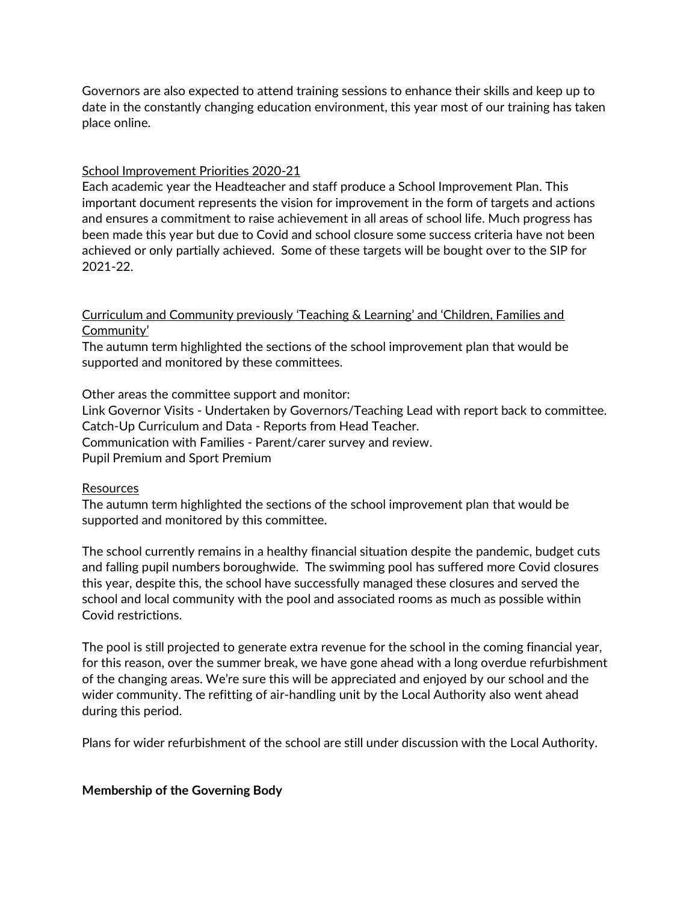Governors are also expected to attend training sessions to enhance their skills and keep up to date in the constantly changing education environment, this year most of our training has taken place online.

## School Improvement Priorities 2020-21

Each academic year the Headteacher and staff produce a School Improvement Plan. This important document represents the vision for improvement in the form of targets and actions and ensures a commitment to raise achievement in all areas of school life. Much progress has been made this year but due to Covid and school closure some success criteria have not been achieved or only partially achieved. Some of these targets will be bought over to the SIP for 2021-22.

# Curriculum and Community previously 'Teaching & Learning' and 'Children, Families and Community'

The autumn term highlighted the sections of the school improvement plan that would be supported and monitored by these committees.

Other areas the committee support and monitor:

Link Governor Visits - Undertaken by Governors/Teaching Lead with report back to committee. Catch-Up Curriculum and Data - Reports from Head Teacher. Communication with Families - Parent/carer survey and review. Pupil Premium and Sport Premium

### **Resources**

The autumn term highlighted the sections of the school improvement plan that would be supported and monitored by this committee.

The school currently remains in a healthy financial situation despite the pandemic, budget cuts and falling pupil numbers boroughwide. The swimming pool has suffered more Covid closures this year, despite this, the school have successfully managed these closures and served the school and local community with the pool and associated rooms as much as possible within Covid restrictions.

The pool is still projected to generate extra revenue for the school in the coming financial year, for this reason, over the summer break, we have gone ahead with a long overdue refurbishment of the changing areas. We're sure this will be appreciated and enjoyed by our school and the wider community. The refitting of air-handling unit by the Local Authority also went ahead during this period.

Plans for wider refurbishment of the school are still under discussion with the Local Authority.

### **Membership of the Governing Body**